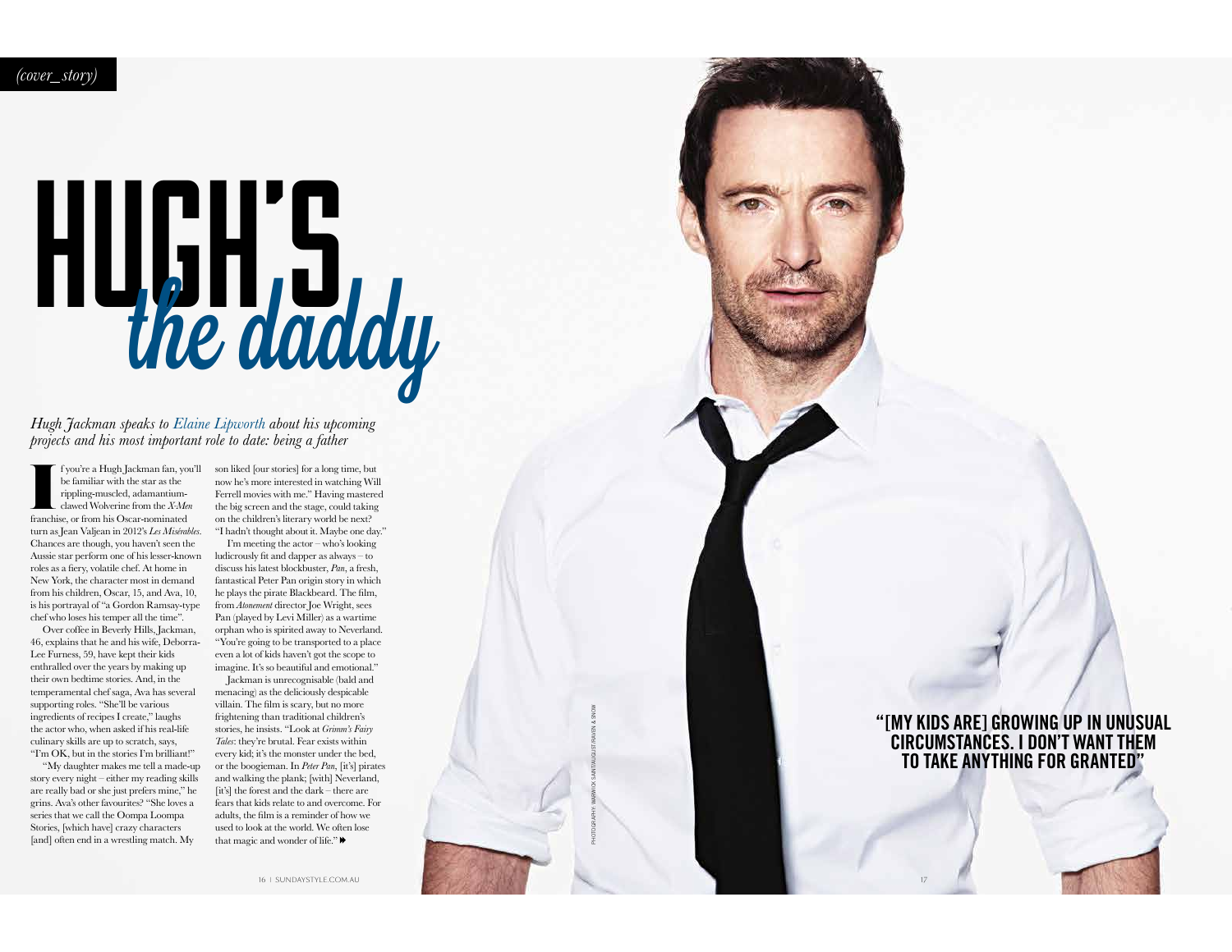*(cover\_story)*

## HUGH'S the daddy

*Hugh Jackman speaks to Elaine Lipworth about his upcoming projects and his most important role to date: being a father*

 $\Gamma$ f you're a Hugh Jackman fan, yo be familiar with the star as the rippling-muscled, adamantium-clawed Wolverine from the  $X$ -Me franchise, or from his Oscar-nominated f you're a Hugh Jackman fan, you'll be familiar with the star as the rippling-muscled, adamantiumclawed Wolverine from the *X-Men* turn as Jean Valjean in 2012's *Les Misérables*. Chances are though, you haven't seen the Aussie star perform one of his lesser-known  $\Gamma$ roles as a fierv, volatile chef. At home in New York, the character most in demand from his children, Oscar, 15, and Ava, 10, is his portrayal of "a Gordon Ramsay-type chef who loses his temper all the time".

Over coffee in Beverly Hills, Jackman, 46, explains that he and his wife, Deborra-Lee Furness, 59, have kept their kids enthralled over the years by making up their own bedtime stories. And, in the temperamental chef saga, Ava has several supporting roles. "She'll be various ingredients of recipes I create," laughs the actor who, when asked if his real-life culinary skills are up to scratch, says, "I'm OK, but in the stories I'm brilliant!"

"My daughter makes me tell a made-up story every night – either my reading skills are really bad or she just prefers mine," he grins. Ava's other favourites? "She loves a series that we call the Oompa Loompa Stories, [which have] crazy characters [and] often end in a wrestling match. My

son liked [our stories] for a long time, but now he's more interested in watching Will Ferrell movies with me." Having mastered the big screen and the stage, could taking on the children's literary world be next? "I hadn't thought about it. Maybe one day."

I'm meeting the actor – who's looking ludicrously fit and dapper as always  $-$  to discuss his latest blockbuster, *Pan*, a fresh, fantastical Peter Pan origin story in which he plays the pirate Blackbeard. The film, from *Atonement* director Joe Wright, sees Pan (played by Levi Miller) as a wartime orphan who is spirited away to Neverland. "You're going to be transported to a place even a lot of kids haven't got the scope to imagine. It's so beautiful and emotional."

Jackman is unrecognisable (bald and menacing) as the deliciously despicable villain. The film is scary, but no more frightening than traditional children's stories, he insists. "Look at *Grimm's Fairy Tales*: they're brutal. Fear exists within every kid; it's the monster under the bed, or the boogieman. In *Peter Pan*, [it's] pirates and walking the plank; [with] Neverland, [it's] the forest and the dark – there are fears that kids relate to and overcome. For adults, the film is a reminder of how we used to look at the world. We often lose that magic and wonder of life." 16 | SUNDAYSTYLE.COMAU 17<br>
In Sack of Chimmi<sup>s</sup> Fairy<br>
16 the monster under the bed,<br>
ts the monster under the bed,<br>
ts the monster under the bed,<br>
ts the monster where here,<br>
ids relate to and overcome. For<br>
ids relate to

**"[MY KIDS ARE] GROWING UP IN UNUSUAL CIRCUMSTANCES. I DON'T WANT THEM TO TAKE ANYTHING FOR GRANTED"**